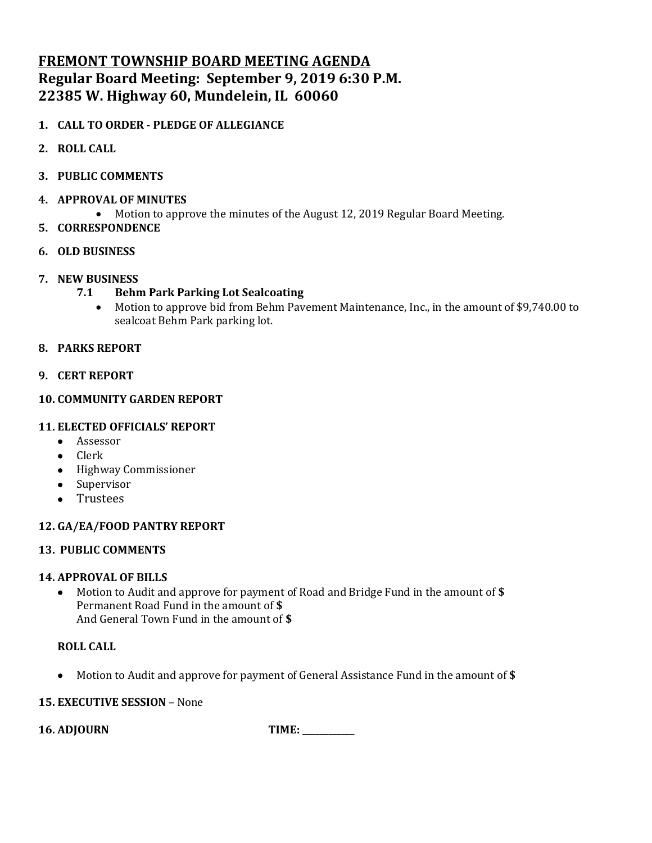# **FREMONT TOWNSHIP BOARD MEETING AGENDA Regular Board Meeting: September 9, 2019 6:30 P.M. 22385 W. Highway 60, Mundelein, IL 60060**

## **1. CALL TO ORDER - PLEDGE OF ALLEGIANCE**

- **2. ROLL CALL**
- **3. PUBLIC COMMENTS**
- **4. APPROVAL OF MINUTES**
	- Motion to approve the minutes of the August 12, 2019 Regular Board Meeting.
- **5. CORRESPONDENCE**
- **6. OLD BUSINESS**
- **7. NEW BUSINESS**
	- **7.1 Behm Park Parking Lot Sealcoating**
		- Motion to approve bid from Behm Pavement Maintenance, Inc., in the amount of \$9,740.00 to sealcoat Behm Park parking lot.

## **8. PARKS REPORT**

## **9. CERT REPORT**

## **10. COMMUNITY GARDEN REPORT**

## **11. ELECTED OFFICIALS' REPORT**

- Assessor
- Clerk
- Highway Commissioner
- Supervisor
- Trustees

## **12. GA/EA/FOOD PANTRY REPORT**

## **13. PUBLIC COMMENTS**

## **14. APPROVAL OF BILLS**

• Motion to Audit and approve for payment of Road and Bridge Fund in the amount of **\$** Permanent Road Fund in the amount of **\$** And General Town Fund in the amount of **\$**

## **ROLL CALL**

• Motion to Audit and approve for payment of General Assistance Fund in the amount of **\$**

## **15. EXECUTIVE SESSION** – None

**16. ADJOURN TIME: \_\_\_\_\_\_\_\_\_\_\_\_**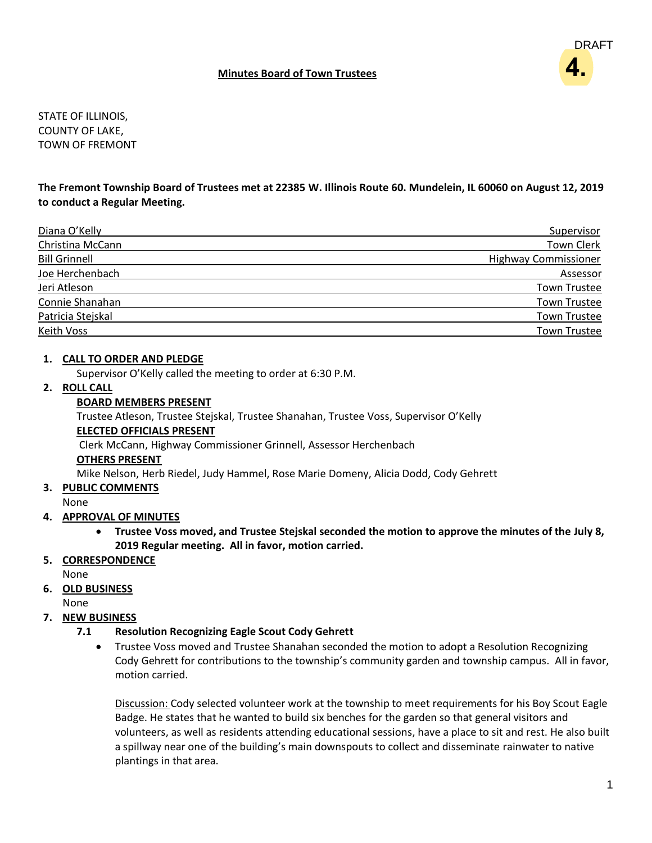#### **Minutes Board of Town Trustees**

DRAFT **4.**

STATE OF ILLINOIS, COUNTY OF LAKE, TOWN OF FREMONT

#### **The Fremont Township Board of Trustees met at 22385 W. Illinois Route 60. Mundelein, IL 60060 on August 12, 2019 to conduct a Regular Meeting.**

| Diana O'Kelly        | Supervisor                  |
|----------------------|-----------------------------|
| Christina McCann     | <b>Town Clerk</b>           |
| <b>Bill Grinnell</b> | <b>Highway Commissioner</b> |
| Joe Herchenbach      | Assessor                    |
| Jeri Atleson         | <b>Town Trustee</b>         |
| Connie Shanahan      | <b>Town Trustee</b>         |
| Patricia Stejskal    | <b>Town Trustee</b>         |
| Keith Voss           | <b>Town Trustee</b>         |

#### **1. CALL TO ORDER AND PLEDGE**

Supervisor O'Kelly called the meeting to order at 6:30 P.M.

## **2. ROLL CALL**

#### **BOARD MEMBERS PRESENT**

Trustee Atleson, Trustee Stejskal, Trustee Shanahan, Trustee Voss, Supervisor O'Kelly **ELECTED OFFICIALS PRESENT** Clerk McCann, Highway Commissioner Grinnell, Assessor Herchenbach

#### **OTHERS PRESENT**

Mike Nelson, Herb Riedel, Judy Hammel, Rose Marie Domeny, Alicia Dodd, Cody Gehrett

#### **3. PUBLIC COMMENTS**

None

#### **4. APPROVAL OF MINUTES**

• **Trustee Voss moved, and Trustee Stejskal seconded the motion to approve the minutes of the July 8, 2019 Regular meeting. All in favor, motion carried.**

## **5. CORRESPONDENCE**

None

## **6. OLD BUSINESS**

None

## **7. NEW BUSINESS**

## **7.1 Resolution Recognizing Eagle Scout Cody Gehrett**

• Trustee Voss moved and Trustee Shanahan seconded the motion to adopt a Resolution Recognizing Cody Gehrett for contributions to the township's community garden and township campus. All in favor, motion carried.

Discussion: Cody selected volunteer work at the township to meet requirements for his Boy Scout Eagle Badge. He states that he wanted to build six benches for the garden so that general visitors and volunteers, as well as residents attending educational sessions, have a place to sit and rest. He also built a spillway near one of the building's main downspouts to collect and disseminate rainwater to native plantings in that area.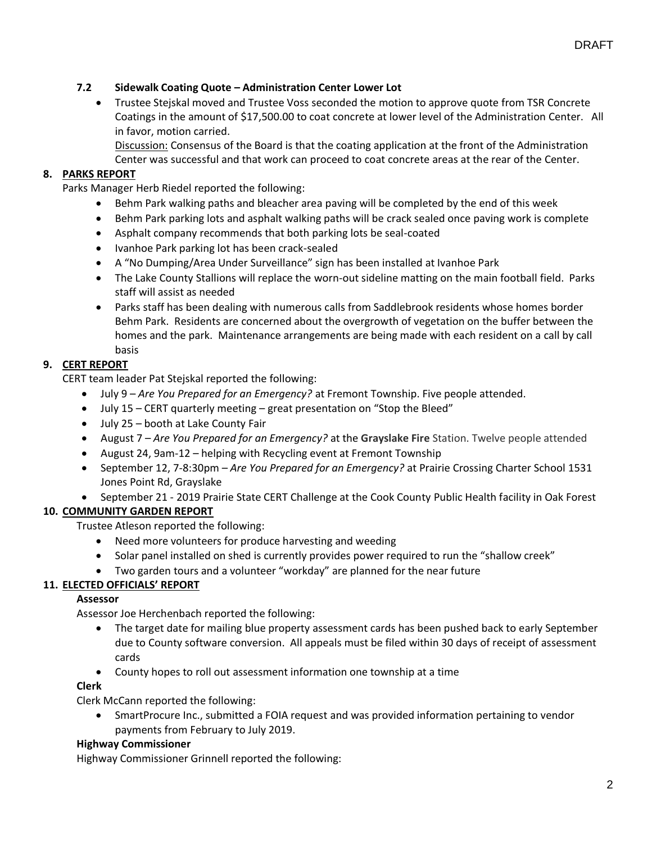#### **7.2 Sidewalk Coating Quote – Administration Center Lower Lot**

• Trustee Stejskal moved and Trustee Voss seconded the motion to approve quote from TSR Concrete Coatings in the amount of \$17,500.00 to coat concrete at lower level of the Administration Center. All in favor, motion carried.

Discussion: Consensus of the Board is that the coating application at the front of the Administration Center was successful and that work can proceed to coat concrete areas at the rear of the Center.

#### **8. PARKS REPORT**

Parks Manager Herb Riedel reported the following:

- Behm Park walking paths and bleacher area paving will be completed by the end of this week
- Behm Park parking lots and asphalt walking paths will be crack sealed once paving work is complete
- Asphalt company recommends that both parking lots be seal-coated
- Ivanhoe Park parking lot has been crack-sealed
- A "No Dumping/Area Under Surveillance" sign has been installed at Ivanhoe Park
- The Lake County Stallions will replace the worn-out sideline matting on the main football field. Parks staff will assist as needed
- Parks staff has been dealing with numerous calls from Saddlebrook residents whose homes border Behm Park. Residents are concerned about the overgrowth of vegetation on the buffer between the homes and the park. Maintenance arrangements are being made with each resident on a call by call basis

#### **9. CERT REPORT**

CERT team leader Pat Stejskal reported the following:

- July 9 *Are You Prepared for an Emergency?* at Fremont Township. Five people attended.
- July 15 CERT quarterly meeting great presentation on "Stop the Bleed"
- July 25 booth at Lake County Fair
- August 7 *Are You Prepared for an Emergency?* at the **Grayslake Fire** Station. Twelve people attended
- August 24, 9am-12 helping with Recycling event at Fremont Township
- September 12, 7-8:30pm *Are You Prepared for an Emergency?* at Prairie Crossing Charter School 1531 Jones Point Rd, Grayslake
- September 21 2019 Prairie State CERT Challenge at the Cook County Public Health facility in Oak Forest

#### **10. COMMUNITY GARDEN REPORT**

Trustee Atleson reported the following:

- Need more volunteers for produce harvesting and weeding
- Solar panel installed on shed is currently provides power required to run the "shallow creek"
- Two garden tours and a volunteer "workday" are planned for the near future

#### **11. ELECTED OFFICIALS' REPORT**

#### **Assessor**

Assessor Joe Herchenbach reported the following:

- The target date for mailing blue property assessment cards has been pushed back to early September due to County software conversion. All appeals must be filed within 30 days of receipt of assessment cards
- County hopes to roll out assessment information one township at a time

#### **Clerk**

Clerk McCann reported the following:

• SmartProcure Inc., submitted a FOIA request and was provided information pertaining to vendor payments from February to July 2019.

#### **Highway Commissioner**

Highway Commissioner Grinnell reported the following: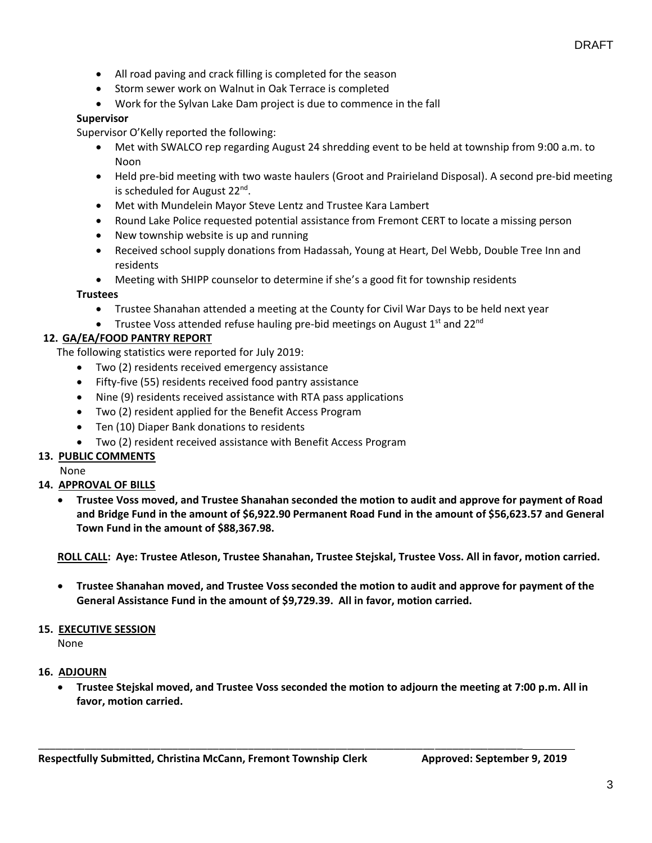- All road paving and crack filling is completed for the season
- Storm sewer work on Walnut in Oak Terrace is completed
- Work for the Sylvan Lake Dam project is due to commence in the fall

#### **Supervisor**

Supervisor O'Kelly reported the following:

- Met with SWALCO rep regarding August 24 shredding event to be held at township from 9:00 a.m. to Noon
- Held pre-bid meeting with two waste haulers (Groot and Prairieland Disposal). A second pre-bid meeting is scheduled for August 22<sup>nd</sup>.
- Met with Mundelein Mayor Steve Lentz and Trustee Kara Lambert
- Round Lake Police requested potential assistance from Fremont CERT to locate a missing person
- New township website is up and running
- Received school supply donations from Hadassah, Young at Heart, Del Webb, Double Tree Inn and residents
- Meeting with SHIPP counselor to determine if she's a good fit for township residents

#### **Trustees**

- Trustee Shanahan attended a meeting at the County for Civil War Days to be held next year
- Trustee Voss attended refuse hauling pre-bid meetings on August  $1<sup>st</sup>$  and 22<sup>nd</sup>

## **12. GA/EA/FOOD PANTRY REPORT**

The following statistics were reported for July 2019:

- Two (2) residents received emergency assistance
- Fifty-five (55) residents received food pantry assistance
- Nine (9) residents received assistance with RTA pass applications
- Two (2) resident applied for the Benefit Access Program
- Ten (10) Diaper Bank donations to residents
- Two (2) resident received assistance with Benefit Access Program

## **13. PUBLIC COMMENTS**

None

## **14. APPROVAL OF BILLS**

• **Trustee Voss moved, and Trustee Shanahan seconded the motion to audit and approve for payment of Road and Bridge Fund in the amount of \$6,922.90 Permanent Road Fund in the amount of \$56,623.57 and General Town Fund in the amount of \$88,367.98.**

**ROLL CALL: Aye: Trustee Atleson, Trustee Shanahan, Trustee Stejskal, Trustee Voss. All in favor, motion carried.**

• **Trustee Shanahan moved, and Trustee Voss seconded the motion to audit and approve for payment of the General Assistance Fund in the amount of \$9,729.39. All in favor, motion carried.**

#### **15. EXECUTIVE SESSION**

None

#### **16. ADJOURN**

• **Trustee Stejskal moved, and Trustee Voss seconded the motion to adjourn the meeting at 7:00 p.m. All in favor, motion carried.**

\_\_\_\_\_\_\_\_\_\_\_\_\_\_\_\_\_\_\_\_\_\_\_\_\_\_\_\_\_\_\_\_\_\_\_\_\_\_\_\_\_\_\_\_\_\_\_\_\_\_\_\_\_\_\_\_\_\_\_\_\_\_\_\_\_\_\_\_\_\_\_\_\_\_\_\_\_\_\_\_\_\_\_